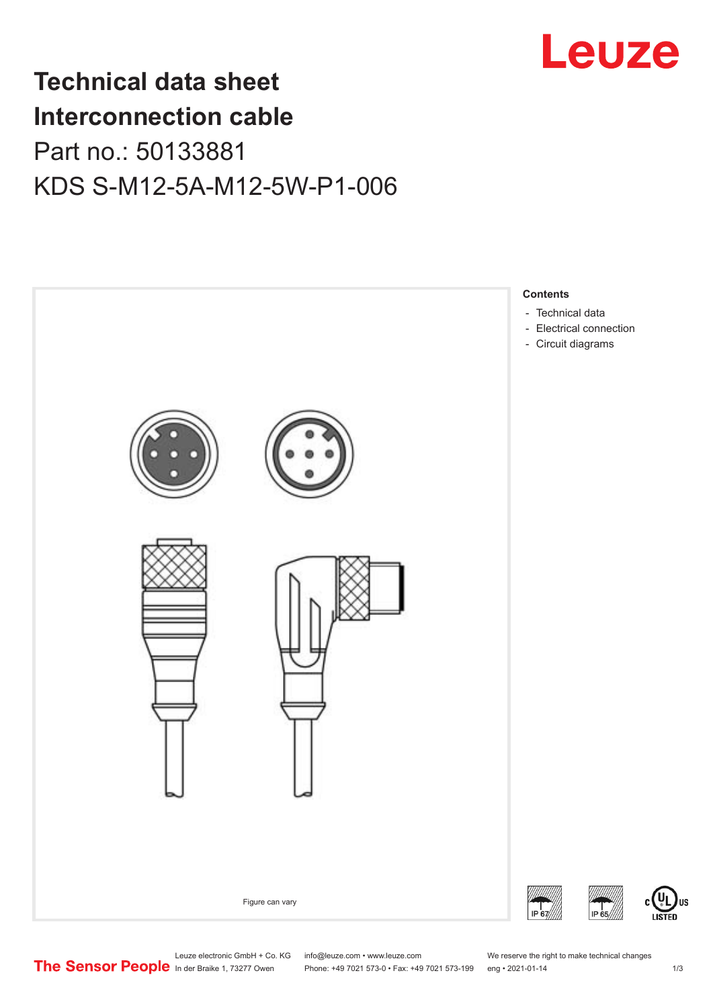

## **Technical data sheet Interconnection cable** Part no.: 50133881 KDS S-M12-5A-M12-5W-P1-006



Leuze electronic GmbH + Co. KG info@leuze.com • www.leuze.com We reserve the right to make technical changes<br>
The Sensor People in der Braike 1, 73277 Owen Phone: +49 7021 573-0 • Fax: +49 7021 573-199 eng • 2021-01-14

Phone: +49 7021 573-0 • Fax: +49 7021 573-199 eng • 2021-01-14 1 73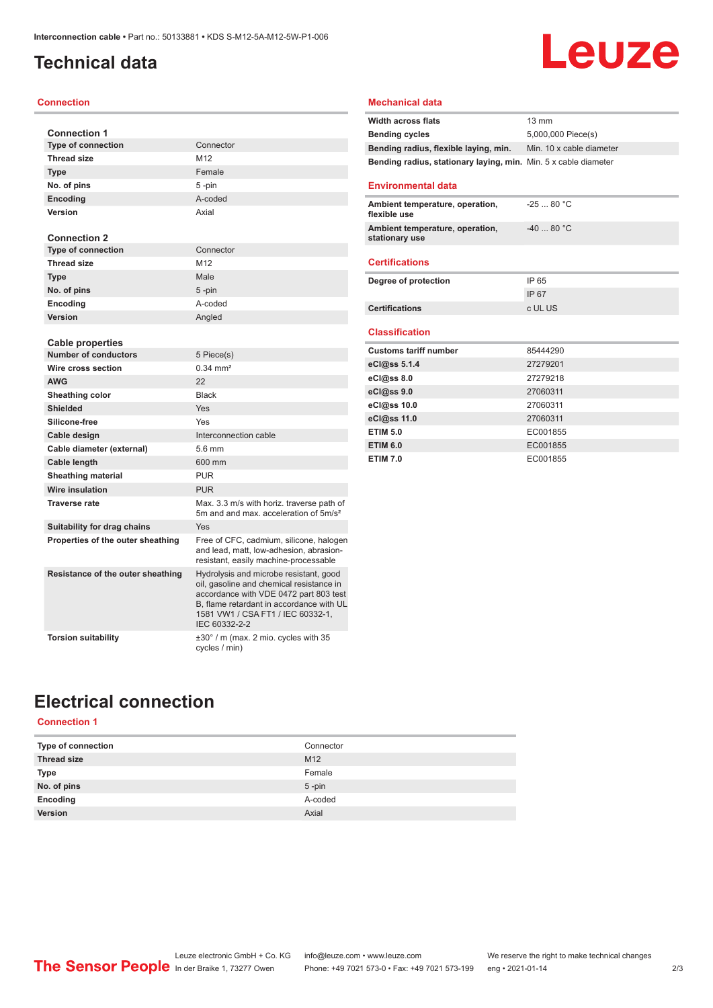## <span id="page-1-0"></span>**Technical data**

#### **Connection**

| <b>Connection 1</b>               |                                                                                                                                                                                                                                |
|-----------------------------------|--------------------------------------------------------------------------------------------------------------------------------------------------------------------------------------------------------------------------------|
| <b>Type of connection</b>         | Connector                                                                                                                                                                                                                      |
| <b>Thread size</b>                | M12                                                                                                                                                                                                                            |
| <b>Type</b>                       | Female                                                                                                                                                                                                                         |
| No. of pins                       | 5-pin                                                                                                                                                                                                                          |
| <b>Encoding</b>                   | A-coded                                                                                                                                                                                                                        |
| Version                           | Axial                                                                                                                                                                                                                          |
|                                   |                                                                                                                                                                                                                                |
| <b>Connection 2</b>               |                                                                                                                                                                                                                                |
| <b>Type of connection</b>         | Connector                                                                                                                                                                                                                      |
| <b>Thread size</b>                | M12                                                                                                                                                                                                                            |
| <b>Type</b>                       | Male                                                                                                                                                                                                                           |
| No. of pins                       | 5-pin                                                                                                                                                                                                                          |
| <b>Encoding</b>                   | A-coded                                                                                                                                                                                                                        |
| Version                           | Angled                                                                                                                                                                                                                         |
|                                   |                                                                                                                                                                                                                                |
| <b>Cable properties</b>           |                                                                                                                                                                                                                                |
| <b>Number of conductors</b>       | 5 Piece(s)                                                                                                                                                                                                                     |
| Wire cross section                | $0.34 \, \text{mm}^2$                                                                                                                                                                                                          |
| <b>AWG</b>                        | 22                                                                                                                                                                                                                             |
| Sheathing color                   | <b>Black</b>                                                                                                                                                                                                                   |
| <b>Shielded</b>                   | Yes                                                                                                                                                                                                                            |
| Silicone-free                     | Yes                                                                                                                                                                                                                            |
| Cable design                      | Interconnection cable                                                                                                                                                                                                          |
| Cable diameter (external)         | 5.6 mm                                                                                                                                                                                                                         |
| Cable length                      | 600 mm                                                                                                                                                                                                                         |
| <b>Sheathing material</b>         | <b>PUR</b>                                                                                                                                                                                                                     |
| <b>Wire insulation</b>            | <b>PUR</b>                                                                                                                                                                                                                     |
| <b>Traverse rate</b>              | Max. 3.3 m/s with horiz. traverse path of<br>5m and and max, acceleration of 5m/s <sup>2</sup>                                                                                                                                 |
| Suitability for drag chains       | Yes                                                                                                                                                                                                                            |
| Properties of the outer sheathing | Free of CFC, cadmium, silicone, halogen<br>and lead, matt, low-adhesion, abrasion-<br>resistant, easily machine-processable                                                                                                    |
| Resistance of the outer sheathing | Hydrolysis and microbe resistant, good<br>oil, gasoline and chemical resistance in<br>accordance with VDE 0472 part 803 test<br>B, flame retardant in accordance with UL<br>1581 VW1 / CSA FT1 / IEC 60332-1,<br>IEC 60332-2-2 |
| <b>Torsion suitability</b>        | $\pm 30^{\circ}$ / m (max. 2 mio. cycles with 35<br>cycles / min)                                                                                                                                                              |

#### **Mechanical data**

| <b>Width across flats</b>                                       | $13 \text{ mm}$          |
|-----------------------------------------------------------------|--------------------------|
| <b>Bending cycles</b>                                           | 5,000,000 Piece(s)       |
| Bending radius, flexible laying, min.                           | Min. 10 x cable diameter |
| Bending radius, stationary laying, min. Min. 5 x cable diameter |                          |
|                                                                 |                          |
| <b>Environmental data</b>                                       |                          |
| Ambient temperature, operation,<br>flexible use                 | $-2580 °C$               |
| Ambient temperature, operation,<br>stationary use               | $-4080 °C$               |
| <b>Certifications</b>                                           |                          |
| Degree of protection                                            | IP 65                    |
|                                                                 |                          |
|                                                                 | IP 67                    |
| <b>Certifications</b>                                           | c UL US                  |
| <b>Classification</b>                                           |                          |
| <b>Customs tariff number</b>                                    | 85444290                 |
| eCl@ss 5.1.4                                                    | 27279201                 |
| eCl@ss 8.0                                                      | 27279218                 |
| eCl@ss 9.0                                                      | 27060311                 |
| eCl@ss 10.0                                                     | 27060311                 |
| eCl@ss 11.0                                                     | 27060311                 |
| <b>ETIM 5.0</b>                                                 | EC001855                 |
| <b>ETIM 6.0</b>                                                 | EC001855                 |

Leuze

## **Electrical connection**

#### **Connection 1**

| Type of connection | Connector       |
|--------------------|-----------------|
| <b>Thread size</b> | M <sub>12</sub> |
| Type               | Female          |
| No. of pins        | $5 - pin$       |
| Encoding           | A-coded         |
| Version            | Axial           |